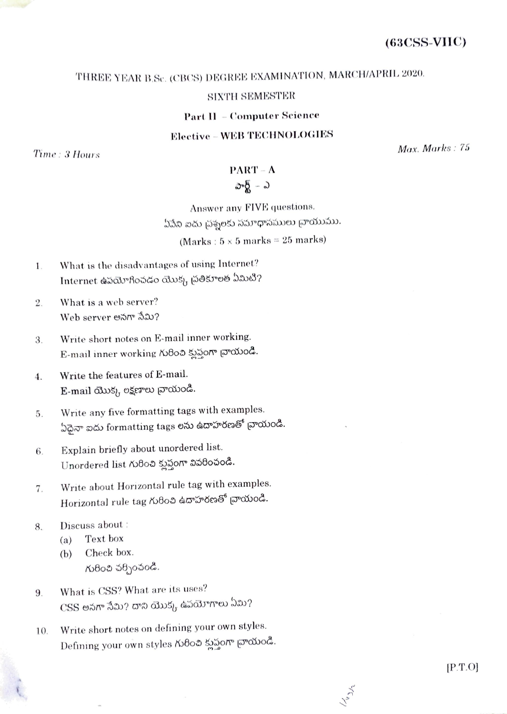## THREE YEAR B.Sc. (CBCS) DEGREE EXAMINATION, MARCH/APRIL 2020.

## **SIXTH SEMESTER**

**Part II - Computer Science** 

**Elective - WEB TECHNOLOGIES** 

Time: 3 Hours

Max. Marks: 75

## $PART - A$ పార్ట్ – ఎ

Answer any FIVE questions. ఏపేని ఐదు చ్రశ్నలకు సమాధానములు చ్రాయుము. (Marks:  $5 \times 5$  marks = 25 marks)

- What is the disadvantages of using Internet?  $\mathbf{1}$ . Internet ఉపయోగించడం యొక్క చ్రతికూలత ఏమిటి?
- What is a web server?  $\overline{2}$ . Web server అనగా సేమి?
- Write short notes on E-mail inner working. 3. E-mail inner working గురించి క్లుప్తంగా చాయండి.
- Write the features of E-mail.  $4.$ E-mail యొక్క లక్షణాలు వ్రాయండి.
- Write any five formatting tags with examples. 5. ఏదైనా ఐదు formatting tags లను ఉదాహరణతో <sub>[</sub>వాయండి.
- Explain briefly about unordered list. 6. Unordered list గురించి క్లుప్తంగా వివరించండి.
- Write about Horizontal rule tag with examples. 7. Horizontal rule tag గురించి ఉదాహరణతో వ్రాయండి.
- Discuss about : 8.
	- Text box  $(a)$
	- Check box.  $(b)$ గురించి పర్చించండి.
- What is CSS? What are its uses? 9.  $\mathrm{CSS}% (\mathcal{M}_{\mathrm{CL}}^{(n)}\times\mathcal{M}_{\mathrm{CL}}^{(n)})$ లు నేమి? దాని యొక్క ఉపయోగాలు ఏమి?
- Write short notes on defining your own styles. 10. Defining your own styles గురించి క్లుప్తంగా వ్రాయండి.